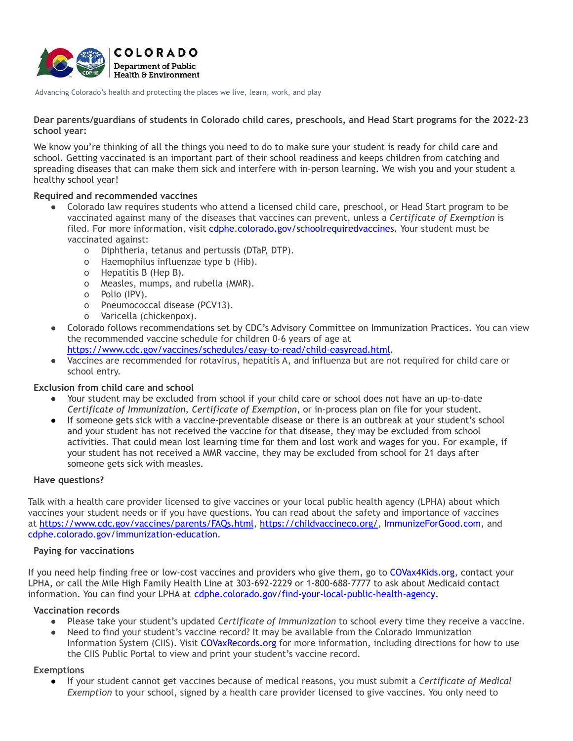

Advancing Colorado's health and protecting the places we live, learn, work, and play

**Dear parents/guardians of students in Colorado child cares, preschools, and Head Start programs for the 2022-23 school year:**

We know you're thinking of all the things you need to do to make sure your student is ready for child care and school. Getting vaccinated is an important part of their school readiness and keeps children from catching and spreading diseases that can make them sick and interfere with in-person learning. We wish you and your student a healthy school year!

# **Required and recommended vaccines**

- Colorado law requires students who attend a licensed child care, preschool, or Head Start program to be vaccinated against many of the diseases that vaccines can prevent, unless a *Certificate of Exemption* is filed. For more information, visit [cdphe.colorado.gov/schoolrequiredvaccines.](http://cdphe.colorado.gov/schoolrequiredvaccines) Your student must be vaccinated against:
	- o Diphtheria, tetanus and pertussis (DTaP, DTP).
	- o Haemophilus influenzae type b (Hib).
	- o Hepatitis B (Hep B).
	- o Measles, mumps, and rubella (MMR).
	- o Polio (IPV).
	- o Pneumococcal disease (PCV13).
	- o Varicella (chickenpox).
- Colorado follows recommendations set by CDC's Advisory Committee on Immunization Practices. You can view the recommended vaccine schedule for children 0-6 years of age at [https://www.cdc.gov/vaccines/schedules/easy-to-read/child-easyread.html.](https://www.cdc.gov/vaccines/schedules/easy-to-read/child-easyread.html)
	-
- Vaccines are recommended for rotavirus, hepatitis A, and influenza but are not required for child care or school entry.

## **Exclusion from child care and school**

- Your student may be excluded from school if your child care or school does not have an up-to-date *Certificate of Immunization, Certificate of Exemption*, or in-process plan on file for your student.
- If someone gets sick with a vaccine-preventable disease or there is an outbreak at your student's school and your student has not received the vaccine for that disease, they may be excluded from school activities. That could mean lost learning time for them and lost work and wages for you. For example, if your student has not received a MMR vaccine, they may be excluded from school for 21 days after someone gets sick with measles.

### **Have questions?**

Talk with a health care provider licensed to give vaccines or your local public health agency (LPHA) about which vaccines your student needs or if you have questions. You can read about the safety and importance of vaccines at <https://www.cdc.gov/vaccines/parents/FAQs.html>, <https://childvaccineco.org/>, [ImmunizeForGood.com,](http://www.immunizeforgood.com/) and [cdphe.colorado.gov/immunization-education](http://cdphe.colorado.gov/immunization-education).

## **Paying for vaccinations**

If you need help finding free or low-cost vaccines and providers who give them, go to [COVax4Kids.org,](http://www.covax4kids.org/) contact your LPHA, or call the Mile High Family Health Line at 303-692-2229 or 1-800-688-7777 to ask about Medicaid contact information. You can find your LPHA at [cdphe.colorado.gov/find-your-local-public-health-agency](http://cdphe.colorado.gov/find-your-local-public-health-agency).

### **Vaccination records**

- Please take your student's updated *Certificate of Immunization* to school every time they receive a vaccine.
- Need to find your student's vaccine record? It may be available from the Colorado Immunization Information System (CIIS). Visit [COVaxRecords.org](http://www.covaxrecords.org/) for more information, including directions for how to use the CIIS Public Portal to view and print your student's vaccine record.

### **Exemptions**

● If your student cannot get vaccines because of medical reasons, you must submit a *Certificate of Medical Exemption* to your school, signed by a health care provider licensed to give vaccines. You only need to